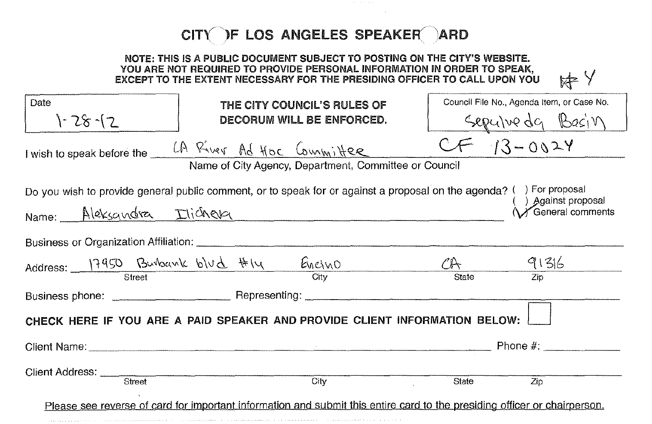## $CIT$  $F$  LOS ANGELES SPEAKER $\bigcap$ ARD

| NOTE: THIS IS A PUBLIC DOCUMENT SUBJECT TO POSTING ON THE CITY'S WEBSITE.<br>YOU ARE NOT REQUIRED TO PROVIDE PERSONAL INFORMATION IN ORDER TO SPEAK,<br><b>KEY</b><br>EXCEPT TO THE EXTENT NECESSARY FOR THE PRESIDING OFFICER TO CALL UPON YOU |  |                                                       |       |                                            |
|-------------------------------------------------------------------------------------------------------------------------------------------------------------------------------------------------------------------------------------------------|--|-------------------------------------------------------|-------|--------------------------------------------|
| Date                                                                                                                                                                                                                                            |  | THE CITY COUNCIL'S RULES OF                           |       | Council File No., Agenda Item, or Case No. |
| $1 - 28 - 2$                                                                                                                                                                                                                                    |  | DECORUM WILL BE ENFORCED.                             |       | Sepulve da Basin                           |
| I wish to speak before the LA River Ad HOC Committee                                                                                                                                                                                            |  |                                                       |       | $CF 13-0024$                               |
|                                                                                                                                                                                                                                                 |  | Name of City Agency, Department, Committee or Council |       |                                            |
| Do you wish to provide general public comment, or to speak for or against a proposal on the agenda? () For proposal                                                                                                                             |  |                                                       |       | ) Against proposal                         |
| Name: Aleksandra Ilichera                                                                                                                                                                                                                       |  |                                                       |       | ◯ General comments                         |
| Business or Organization Affiliation: <b>Constitution</b>                                                                                                                                                                                       |  |                                                       |       |                                            |
| Address: 17950 Burbank blud #14                                                                                                                                                                                                                 |  | $rac{E_{\text{MCMO}}}{C_{\text{itty}}}$               |       | $CH$ $91316$                               |
|                                                                                                                                                                                                                                                 |  |                                                       | State |                                            |
|                                                                                                                                                                                                                                                 |  |                                                       |       |                                            |
| CHECK HERE IF YOU ARE A PAID SPEAKER AND PROVIDE CLIENT INFORMATION BELOW:                                                                                                                                                                      |  |                                                       |       |                                            |
|                                                                                                                                                                                                                                                 |  |                                                       |       |                                            |
| Client Address: <u>Client Address:</u>                                                                                                                                                                                                          |  | $\overline{City}$                                     | State | Zip                                        |
| Please see reverse of card for important information and submit this entire card to the presiding officer or chairperson.                                                                                                                       |  |                                                       |       |                                            |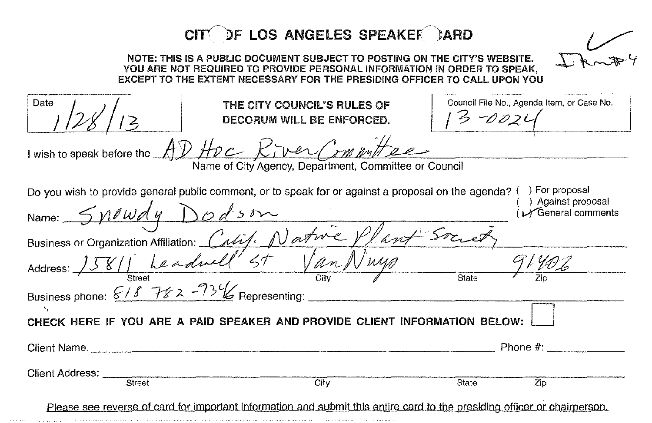|                                                  | CITY DF LOS ANGELES SPEAKER CARD                                                                                                                                                                                                  |                                                        |                                      |
|--------------------------------------------------|-----------------------------------------------------------------------------------------------------------------------------------------------------------------------------------------------------------------------------------|--------------------------------------------------------|--------------------------------------|
|                                                  | NOTE: THIS IS A PUBLIC DOCUMENT SUBJECT TO POSTING ON THE CITY'S WEBSITE.<br>YOU ARE NOT REQUIRED TO PROVIDE PERSONAL INFORMATION IN ORDER TO SPEAK,<br>EXCEPT TO THE EXTENT NECESSARY FOR THE PRESIDING OFFICER TO CALL UPON YOU |                                                        |                                      |
| Date                                             | THE CITY COUNCIL'S RULES OF<br>DECORUM WILL BE ENFORCED.                                                                                                                                                                          | Council File No., Agenda Item, or Case No.<br>$5 -002$ |                                      |
|                                                  | I wish to speak before the AD HDC Kiver Committee                                                                                                                                                                                 |                                                        |                                      |
|                                                  | Name of City Agency, Department, Committee or Council                                                                                                                                                                             |                                                        |                                      |
| Name: $\frac{5 \mu \ell w dy}{y}$                | Do you wish to provide general public comment, or to speak for or against a proposal on the agenda? () For proposal                                                                                                               |                                                        | Against proposal<br>General comments |
|                                                  | Business or Organization Affiliation: Calif. Natwe Plant Sm                                                                                                                                                                       |                                                        |                                      |
| Address: _                                       | 1581 Leadwell St Van N                                                                                                                                                                                                            |                                                        |                                      |
| Business phone: $6/8$ $782 - 73\%$ Representing: |                                                                                                                                                                                                                                   | State                                                  |                                      |
|                                                  | CHECK HERE IF YOU ARE A PAID SPEAKER AND PROVIDE CLIENT INFORMATION BELOW:                                                                                                                                                        |                                                        |                                      |
| Client Name: _                                   |                                                                                                                                                                                                                                   | Phone $#$ :                                            |                                      |
| Client Address: __<br>Street                     | City                                                                                                                                                                                                                              | State<br>Zip                                           |                                      |
|                                                  | Please see reverse of card for important information and submit this entire card to the presiding officer or chairperson.                                                                                                         |                                                        |                                      |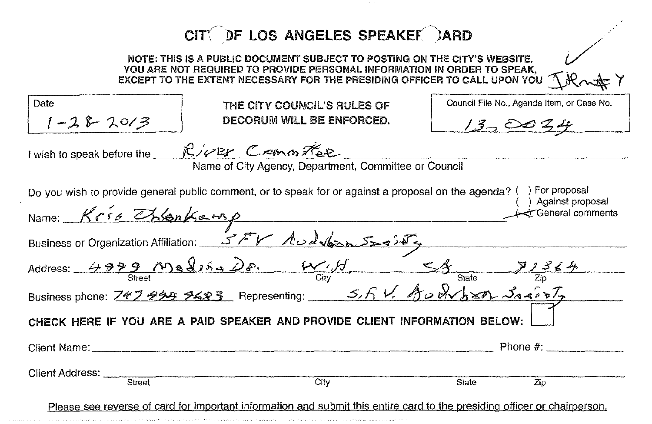|                                                                                                                                                                                                                                   | CITY DF LOS ANGELES SPEAKER )ARD                                                                                                  |                                                         |  |  |
|-----------------------------------------------------------------------------------------------------------------------------------------------------------------------------------------------------------------------------------|-----------------------------------------------------------------------------------------------------------------------------------|---------------------------------------------------------|--|--|
| NOTE: THIS IS A PUBLIC DOCUMENT SUBJECT TO POSTING ON THE CITY'S WEBSITE.<br>YOU ARE NOT REQUIRED TO PROVIDE PERSONAL INFORMATION IN ORDER TO SPEAK,<br>EXCEPT TO THE EXTENT NECESSARY FOR THE PRESIDING OFFICER TO CALL UPON YOU |                                                                                                                                   |                                                         |  |  |
| Date<br>$1 - 28 - 2013$                                                                                                                                                                                                           | THE CITY COUNCIL'S RULES OF<br>DECORUM WILL BE ENFORCED.                                                                          | Council File No., Agenda Item, or Case No.<br>$13-0034$ |  |  |
| I wish to speak before the                                                                                                                                                                                                        | RIVER Committee<br>Name of City Agency, Department, Committee or Council                                                          |                                                         |  |  |
| Do you wish to provide general public comment, or to speak for or against a proposal on the agenda? () For proposal<br>Against proposal<br>Name: Kris Chlankamp<br>t General comments                                             |                                                                                                                                   |                                                         |  |  |
| Business or Organization Affiliation: 5FV Audv63055955                                                                                                                                                                            |                                                                                                                                   |                                                         |  |  |
| Address: $4999$ $\sqrt{116}$ $\sqrt{16}$<br>Business phone: $747444$ 7483 Representing: 5.5 V. $4508\sqrt{620}$ 3045                                                                                                              |                                                                                                                                   |                                                         |  |  |
| CHECK HERE IF YOU ARE A PAID SPEAKER AND PROVIDE CLIENT INFORMATION BELOW:                                                                                                                                                        |                                                                                                                                   |                                                         |  |  |
| Client Name:                                                                                                                                                                                                                      |                                                                                                                                   | Phone $#$ :                                             |  |  |
| Client Address:<br>Street                                                                                                                                                                                                         | City<br>Please see reverse of card for important information and submit this entire card to the presiding officer or chairperson. | State<br>Zip                                            |  |  |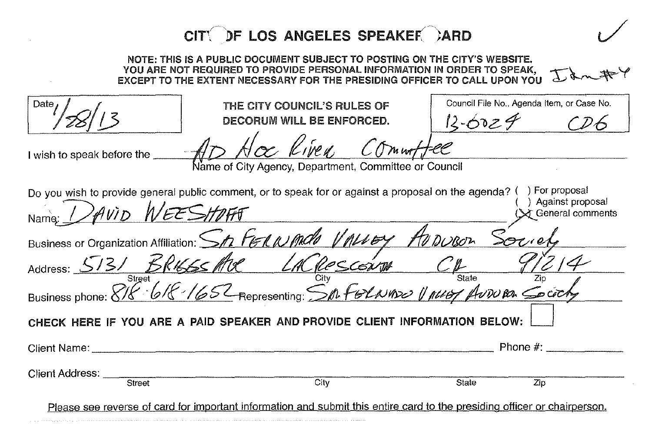|                                                                            | CITY DF LOS ANGELES SPEAKER )ARD                                                                                                                                                                                                  |       |                                                           |  |
|----------------------------------------------------------------------------|-----------------------------------------------------------------------------------------------------------------------------------------------------------------------------------------------------------------------------------|-------|-----------------------------------------------------------|--|
|                                                                            | NOTE: THIS IS A PUBLIC DOCUMENT SUBJECT TO POSTING ON THE CITY'S WEBSITE.<br>YOU ARE NOT REQUIRED TO PROVIDE PERSONAL INFORMATION IN ORDER TO SPEAK,<br>EXCEPT TO THE EXTENT NECESSARY FOR THE PRESIDING OFFICER TO CALL UPON YOU |       |                                                           |  |
| Date                                                                       | THE CITY COUNCIL'S RULES OF<br>DECORUM WILL BE ENFORCED.                                                                                                                                                                          |       | Council File No., Agenda Item, or Case No.<br>$13 - 6029$ |  |
| I wish to speak before the _                                               | Kiren,<br>Name of City Agency, Department, Committee or Council                                                                                                                                                                   |       |                                                           |  |
|                                                                            | Do you wish to provide general public comment, or to speak for or against a proposal on the agenda? (                                                                                                                             |       | ) For proposal<br>) Against proposal                      |  |
| <i>AVID WEES</i>                                                           |                                                                                                                                                                                                                                   |       | ceneral comments                                          |  |
| Business or Organization Affiliation: Sh FGRNMale VALLEY AVDUBON           |                                                                                                                                                                                                                                   |       |                                                           |  |
|                                                                            |                                                                                                                                                                                                                                   |       |                                                           |  |
|                                                                            | Address: 5131 BRI665 Aue LACROSCONTO CP 9/214<br>Business phone: 818 618 1652 Representing: SpafeLNAS2 1 ALLEY AUTORA Cocochy                                                                                                     |       |                                                           |  |
| CHECK HERE IF YOU ARE A PAID SPEAKER AND PROVIDE CLIENT INFORMATION BELOW: |                                                                                                                                                                                                                                   |       |                                                           |  |
| Client Name: The Client Name:                                              |                                                                                                                                                                                                                                   |       | Phone $#$ :                                               |  |
| Client Address: _                                                          |                                                                                                                                                                                                                                   |       |                                                           |  |
| Street                                                                     | City                                                                                                                                                                                                                              | State | Zip                                                       |  |
|                                                                            | Disses and reverse of eard for important information and explmit this optics agrd to the prociding officer or obgirporpon                                                                                                         |       |                                                           |  |

Please see reverse of card for important information and submit this entire card to the presiding officer or chairperson.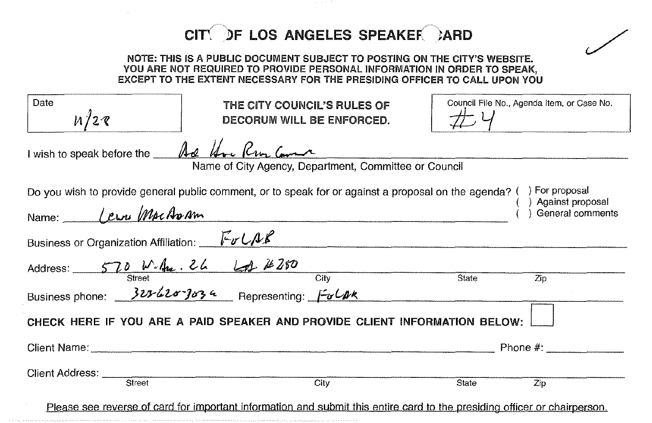|                                            | CITY DF LOS ANGELES SPEAKER CARD                                                                                                                                                                                                  |                                      |                                            |
|--------------------------------------------|-----------------------------------------------------------------------------------------------------------------------------------------------------------------------------------------------------------------------------------|--------------------------------------|--------------------------------------------|
|                                            | NOTE: THIS IS A PUBLIC DOCUMENT SUBJECT TO POSTING ON THE CITY'S WEBSITE.<br>YOU ARE NOT REQUIRED TO PROVIDE PERSONAL INFORMATION IN ORDER TO SPEAK,<br>EXCEPT TO THE EXTENT NECESSARY FOR THE PRESIDING OFFICER TO CALL UPON YOU |                                      |                                            |
| Date<br>1/28                               | THE CITY COUNCIL'S RULES OF<br>DECORUM WILL BE ENFORCED.                                                                                                                                                                          |                                      | Council File No., Agenda Item, or Case No. |
| I wish to speak before the And Une Run Com | Name of City Agency, Department, Committee or Council                                                                                                                                                                             |                                      |                                            |
| Name: <u>Lewi</u> MacAram                  | Do you wish to provide general public comment, or to speak for or against a proposal on the agenda? () For proposal                                                                                                               |                                      | Against proposal<br>General comments       |
| Business or Organization Affiliation: Full |                                                                                                                                                                                                                                   |                                      |                                            |
|                                            |                                                                                                                                                                                                                                   | $\overline{\overline{\text{State}}}$ | $\overline{Zip}$                           |
|                                            | Address: 570 W.A. 26 61 280<br>Street<br>Business phone: 323-420-3034 Representing: $\frac{500R}{200R}$                                                                                                                           |                                      |                                            |
|                                            | CHECK HERE IF YOU ARE A PAID SPEAKER AND PROVIDE CLIENT INFORMATION BELOW:                                                                                                                                                        |                                      |                                            |
|                                            |                                                                                                                                                                                                                                   |                                      | Phone $#$ :                                |
| Client Address: ____<br>Street             | $\overline{City}$                                                                                                                                                                                                                 | State                                | Zip                                        |
|                                            | Please see reverse of card for important information and submit this entire card to the presiding officer or chairperson.                                                                                                         |                                      |                                            |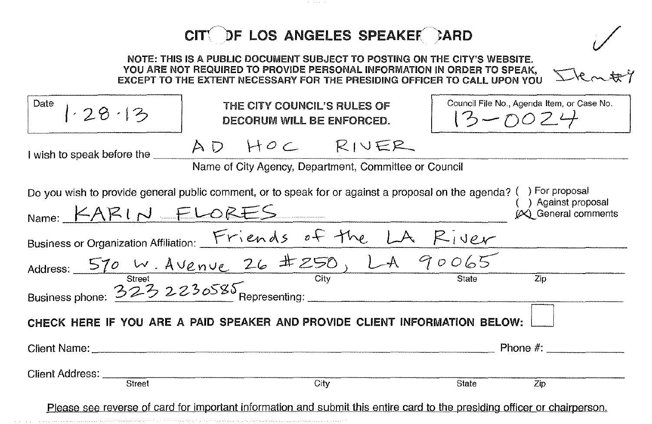|                                                                            | CITY DF LOS ANGELES SPEAKER CARD                                                                                                                                                                                                  |                                                       |                                            |  |
|----------------------------------------------------------------------------|-----------------------------------------------------------------------------------------------------------------------------------------------------------------------------------------------------------------------------------|-------------------------------------------------------|--------------------------------------------|--|
|                                                                            | NOTE: THIS IS A PUBLIC DOCUMENT SUBJECT TO POSTING ON THE CITY'S WEBSITE.<br>YOU ARE NOT REQUIRED TO PROVIDE PERSONAL INFORMATION IN ORDER TO SPEAK,<br>EXCEPT TO THE EXTENT NECESSARY FOR THE PRESIDING OFFICER TO CALL UPON YOU |                                                       |                                            |  |
| Date<br>1.28.13                                                            | THE CITY COUNCIL'S RULES OF<br>DECORUM WILL BE ENFORCED.                                                                                                                                                                          | Council File No., Agenda Item, or Case No.<br>13ーの024 |                                            |  |
| I wish to speak before the                                                 | AD HOC RIVER                                                                                                                                                                                                                      |                                                       |                                            |  |
|                                                                            | Name of City Agency, Department, Committee or Council                                                                                                                                                                             |                                                       |                                            |  |
|                                                                            | Do you wish to provide general public comment, or to speak for or against a proposal on the agenda? () For proposal<br>Name: KARIN FLORES                                                                                         |                                                       | ) Against proposal<br>(X) General comments |  |
|                                                                            |                                                                                                                                                                                                                                   |                                                       |                                            |  |
|                                                                            |                                                                                                                                                                                                                                   |                                                       |                                            |  |
|                                                                            | Business or Organization Affiliation: $\frac{Friends\ of\ Fine\ LA\ Rivered{E1}Q}}{Streef}$<br>Address: $\frac{570 \text{ W.A} \ Venv.26 \pm 250, L.A.90065}{City}$<br>Business phone: $\frac{323230585}{240}$ Representing:      |                                                       | $\overline{Z}$ in                          |  |
| CHECK HERE IF YOU ARE A PAID SPEAKER AND PROVIDE CLIENT INFORMATION BELOW: |                                                                                                                                                                                                                                   |                                                       |                                            |  |
|                                                                            | Client Name: contract and the contract of the contract of the contract of the contract of the contract of the contract of the contract of the contract of the contract of the contract of the contract of the contract of the     |                                                       | Phone $#$ :                                |  |
| Client Address: ____<br>Street                                             | Citv                                                                                                                                                                                                                              | State                                                 | Zip                                        |  |
|                                                                            | Please see reverse of card for important information and submit this entire card to the presiding officer or chairperson.                                                                                                         |                                                       |                                            |  |

a composição de construções de comunicamente e o comunicar o seminada do seminadores de comunicação de comerci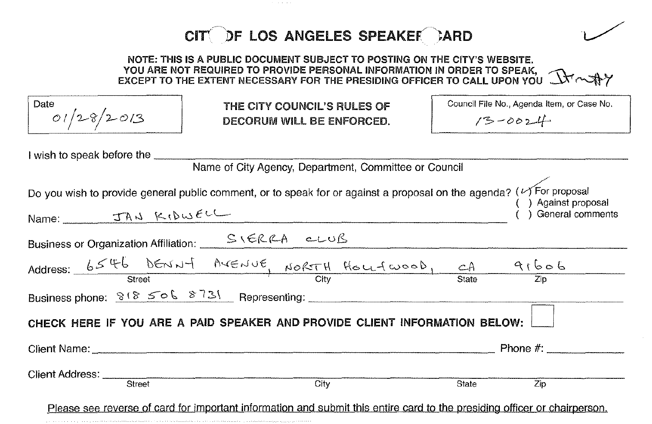CITY DF LOS ANGELES SPEAKER CARD NOTE: THIS IS A PUBLIC DOCUMENT SUBJECT TO POSTING ON THE CITY'S WEBSITE. NOTE: THIS IS A PUBLIC DOCUMENT SUBJECT TO POSTING ON THE CITY'S WEBSITE.<br>YOU ARE NOT REQUIRED TO PROVIDE PERSONAL INFORMATION IN ORDER TO SPEAK,  $\mathbb{R}$   $\mathbb{R}$ **Date Council File No., Agenda Item, or Case No.** THE CITY COUNCIL'S RULES OF *OI/2-'C/'J-c)!3*  $13 - 0024$ DECORUM Will BE ENFORCED. I wish to speak before the \_ Name of City Agency, Department, Committee or Council Do you wish to provide general public comment, or to speak for or against a proposal on the agenda? ( $\vee$ For proposal ( ) Against proposal Name:  $\frac{J A \cup K (D \cup E \cup C)}{L}$ Business or Organization Affiliation: \_\_\_ S \ ERRA c-LUB Address:  $6546$  DENNY MENUE, NORTH HOUTWOOD, CA 91606 Street City State Zip Business phone:  $8^{6}$   $506$   $8^{7}3$ , Representing:  $\qquad \qquad$ CHECK HERE **IF** YOU ARE A PAID SPEAKER AND PROVIDE CLIENT INFORMATION BELOW: Client Name: Phone #: \_  $\begin{array}{cccc}\n\hline\n\text{Client Address:} \\
\hline\n\text{Street}\n\end{array}\n\quad\n\begin{array}{cccc}\n\hline\n\text{City}\n\end{array}\n\quad\n\begin{array}{cccc}\n\hline\n\text{State}\n\end{array}\n\quad\n\begin{array}{cccc}\n\hline\n\text{Zip} \\
\hline\n\end{array}\n\quad\n\begin{array}{cccc}\n\hline\n\text{State}\n\end{array}\n\quad\n\begin{array}{cccc}\n\hline\n\text{Zip} \\
\hline\n\end{array}\n\end{array}$ Please see reverse of card for important information and submit this entire card to the presiding officer or chairperson.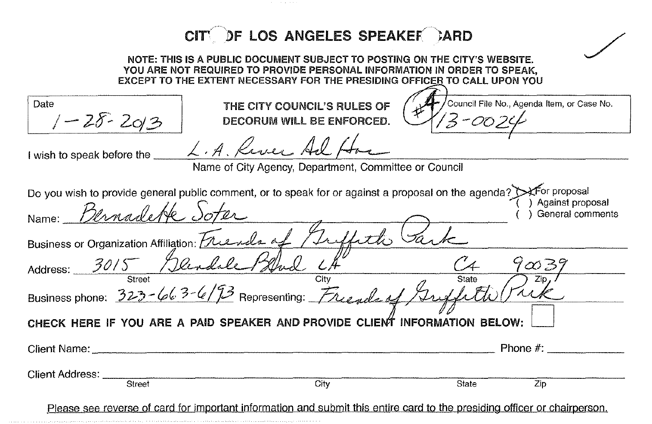| CITY OF LOS ANGELES SPEAKER CARD                                                                                                                                                                                                     |
|--------------------------------------------------------------------------------------------------------------------------------------------------------------------------------------------------------------------------------------|
| NOTE: THIS IS A PUBLIC DOCUMENT SUBJECT TO POSTING ON THE CITY'S WEBSITE.<br>YOU ARE NOT REQUIRED TO PROVIDE PERSONAL INFORMATION IN ORDER TO SPEAK.<br>EXCEPT TO THE EXTENT NECESSARY FOR THE PRESIDING OFFICER TO CALL UPON YOU    |
| Council File No., Agenda Item, or Case No.<br>Date<br>THE CITY COUNCIL'S RULES OF<br>$1 - 28 - 2013$<br>DECORUM WILL BE ENFORCED                                                                                                     |
| L.A. Kiver Ad<br>I wish to speak before the<br>Name of City Agency, Department, Committee or Council                                                                                                                                 |
| Do you wish to provide general public comment, or to speak for or against a proposal on the agenda? Sefor proposal<br>Against proposal<br>Bernadette i<br>General comments<br>Name:<br>Business or Organization Affiliation: Freench |
| Address: 3015 / Dendale<br>$7\varpi$ B)<br>State                                                                                                                                                                                     |
| Business phone: $323 - 663 - 673$ Representing: Free ula                                                                                                                                                                             |
| CHECK HERE IF YOU ARE A PAID SPEAKER AND PROVIDE CLIENT INFORMATION BELOW:                                                                                                                                                           |
| Phone #:<br>Client Name:                                                                                                                                                                                                             |
| Client Address: _<br>Street<br>City<br>Zip<br>State                                                                                                                                                                                  |

Please see reverse of card for important information and submit this entire card to the presiding officer or chairperson,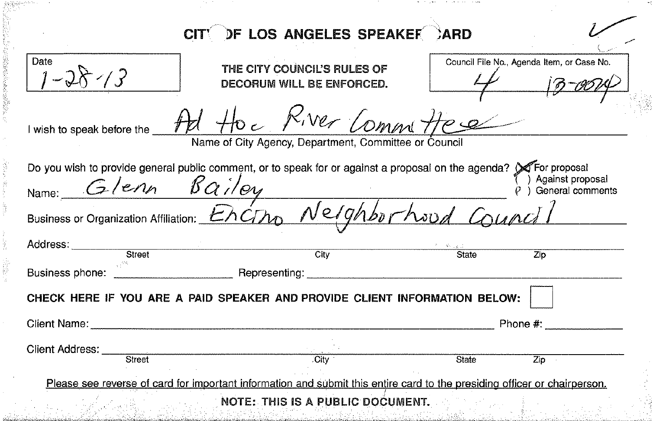| Date                       |                                                                                                                     |       |                                            |
|----------------------------|---------------------------------------------------------------------------------------------------------------------|-------|--------------------------------------------|
|                            | THE CITY COUNCIL'S RULES OF                                                                                         |       | Council File No., Agenda Item, or Case No. |
|                            | DECORUM WILL BE ENFORCED.                                                                                           |       |                                            |
| I wish to speak before the | Ad the Kiver Committee                                                                                              |       |                                            |
|                            | Name of City Agency, Department, Committee or Council                                                               |       |                                            |
|                            | Do you wish to provide general public comment, or to speak for or against a proposal on the agenda? (X For proposal |       |                                            |
| Name: Glenn Bailey         |                                                                                                                     |       | Against proposal<br>General comments       |
|                            | Business or Organization Affiliation: Encino Nelghborhoud Council                                                   |       |                                            |
| Address:<br>Street         | City                                                                                                                | State | $\overline{Z}$ ip                          |
|                            | Representing: Network of the Contract of the Representing:                                                          |       |                                            |
|                            |                                                                                                                     |       |                                            |
|                            |                                                                                                                     |       |                                            |
| Business phone:            | CHECK HERE IF YOU ARE A PAID SPEAKER AND PROVIDE CLIENT INFORMATION BELOW:                                          |       |                                            |
| Client Name:               |                                                                                                                     |       | Phone #:                                   |

中央についる

医单元 医慢性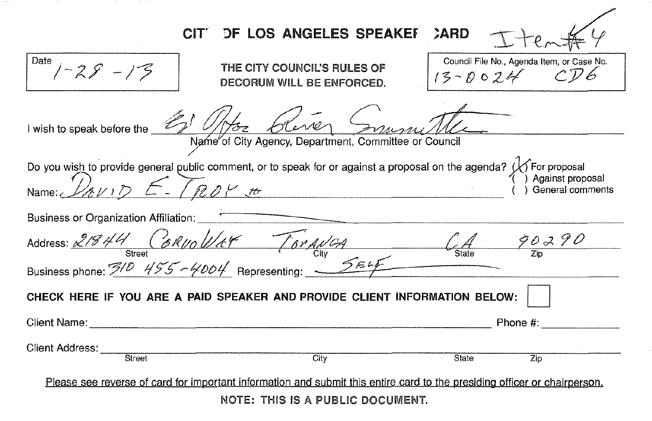|                                                                                                                            | <b>DF LOS ANGELES SPEAKET</b>                            | CARD                                                          |
|----------------------------------------------------------------------------------------------------------------------------|----------------------------------------------------------|---------------------------------------------------------------|
| Date<br>$1 - 28 - 13$                                                                                                      | THE CITY COUNCIL'S RULES OF<br>DECORUM WILL BE ENFORCED. | Council File No., Agenda Item, or Case No.<br>$13 - 0024$ CD6 |
| I wish to speak before the 21 1/1/02 Clerrer                                                                               |                                                          |                                                               |
|                                                                                                                            | Name of City Agency, Department, Committee or Council    |                                                               |
| Do you wish to provide general public comment, or to speak for or against a proposal on the agenda? $\bigvee$ For proposal |                                                          |                                                               |
| Name: $\mathcal{D}_{AV}$ $D$ $E$ - [RDY to                                                                                 |                                                          | Against proposal<br>General comments                          |
| Business or Organization Affiliation:                                                                                      |                                                          |                                                               |
| Address: $21844$ Corvollet Torgular City 65 and CA 90290                                                                   |                                                          |                                                               |
| Business phone: $\frac{3}{2}$ 455 - 4004 Representing:                                                                     |                                                          |                                                               |
| CHECK HERE IF YOU ARE A PAID SPEAKER AND PROVIDE CLIENT INFORMATION BELOW:                                                 |                                                          |                                                               |
|                                                                                                                            |                                                          | Phone #:                                                      |
| <b>Client Address:</b><br>Street                                                                                           | City                                                     | State<br>Zip                                                  |
|                                                                                                                            |                                                          |                                                               |
| Please see reverse of card for important information and submit this entire card to the presiding officer or chairperson.  |                                                          |                                                               |
|                                                                                                                            | NOTE: THIS IS A PUBLIC DOCUMENT.                         |                                                               |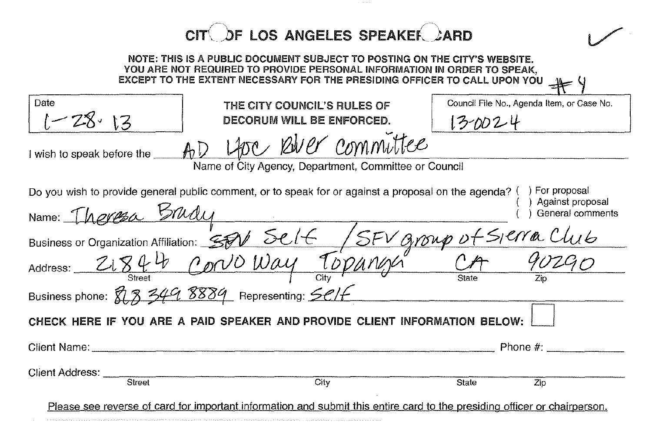|                                                                            | CIT OF LOS ANGELES SPEAKER CARD                                                                                                                                                                                                   |                                                       |  |  |
|----------------------------------------------------------------------------|-----------------------------------------------------------------------------------------------------------------------------------------------------------------------------------------------------------------------------------|-------------------------------------------------------|--|--|
|                                                                            | NOTE: THIS IS A PUBLIC DOCUMENT SUBJECT TO POSTING ON THE CITY'S WEBSITE.<br>YOU ARE NOT REQUIRED TO PROVIDE PERSONAL INFORMATION IN ORDER TO SPEAK.<br>EXCEPT TO THE EXTENT NECESSARY FOR THE PRESIDING OFFICER TO CALL UPON YOU |                                                       |  |  |
| Date<br>$\cdot$ 13                                                         | THE CITY COUNCIL'S RULES OF<br>DECORUM WILL BE ENFORCED.                                                                                                                                                                          | Council File No., Agenda Item, or Case No.<br>13-0024 |  |  |
| I wish to speak before the                                                 | Libre River committee<br>Name of City Agency, Department, Committee or Council                                                                                                                                                    |                                                       |  |  |
| Name: <i>Theresa Srud</i>                                                  | Do you wish to provide general public comment, or to speak for or against a proposal on the agenda? () For proposal                                                                                                               | ) Against proposal<br>General comments                |  |  |
|                                                                            | Business or Organization Affiliation: SEV Self / SEV Group.                                                                                                                                                                       |                                                       |  |  |
|                                                                            |                                                                                                                                                                                                                                   |                                                       |  |  |
| Business phone: 813 349 8889 Representing: SCIF                            |                                                                                                                                                                                                                                   |                                                       |  |  |
| CHECK HERE IF YOU ARE A PAID SPEAKER AND PROVIDE CLIENT INFORMATION BELOW: |                                                                                                                                                                                                                                   |                                                       |  |  |
| Client Name.                                                               |                                                                                                                                                                                                                                   | Phone $#$ :                                           |  |  |
| Client Address: _<br>Street                                                | City                                                                                                                                                                                                                              | State<br>$\mathbb{Z}$ ip                              |  |  |
|                                                                            | Please see reverse of card for important information and submit this entire card to the presiding officer or chairperson.                                                                                                         |                                                       |  |  |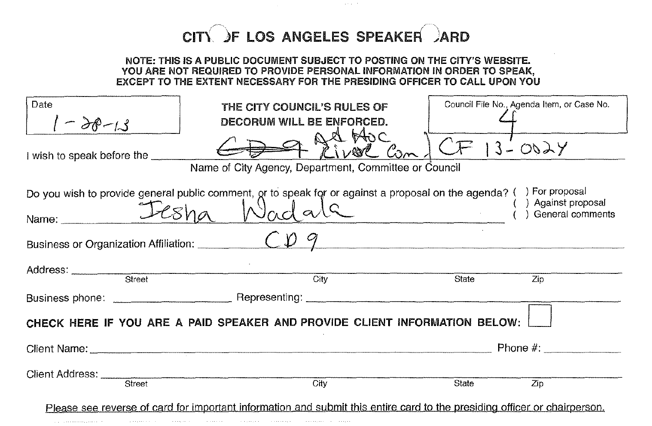## $CIT(\ )F$  LOS ANGELES SPEAKER  $\lambda$ ARD

## NOTE: THIS IS A PUBLIC DOCUMENT SUBJECT TO POSTING ON THE CITY'S WEBSITE. YOU ARE NOT REQUIRED TO PROVIDE PERSONAL INFORMATION IN ORDER TO SPEAK. EXCEPT TO THE EXTENT NECESSARY FOR THE PRESIDING OFFICER TO CALL UPON YOU I Date THE CITY COUNCIL'S RULES OF Council File No., Agenda Item, or Case No. *-* decorum WILL BE ENFORCED. I wish to speak before the  $\bigoplus$   $\bigoplus$   $\bigoplus$   $\bigoplus$   $\bigoplus$   $\bigoplus$   $\bigoplus$   $\bigoplus$   $\bigoplus$   $\bigoplus$   $\bigoplus$   $\bigoplus$   $\bigoplus$   $\bigoplus$   $\bigoplus$   $\bigoplus$   $\bigoplus$   $\bigoplus$   $\bigoplus$   $\bigoplus$   $\bigoplus$   $\bigoplus$   $\bigoplus$   $\bigoplus$   $\bigoplus$   $\bigoplus$   $\bigoplus$   $\bigoplus$ Name of City Agency, Department, Committee or Council Do you wish to provide general public comment,  $\alpha$ r to speak for or against a proposal on the agenda? ( ) For proposal on the agenda? ( ) aning the  $N$ ame:  $\sqrt{2\epsilon}$ ha  $N$ ada $\epsilon$ ) Against proposal ) General comments Business or Organization Affiliation: *"'C'""-'t>~-.11\_---------------------* and a street and the street City City State  $\overline{z}$ ip  $\overline{z}$ Business phone: \_\_\_\_\_\_\_\_\_\_\_ Representing: -== \_ CHECK HERE IF YOU ARE A PAID SPEAKER AND PROVIDE CLIENT INFORMATION BELOW: Client Name: \_ Phone #: \_  $\begin{array}{ccc}\n\text{Client Address:} & \text{Stream} & \text{String} \\
\hline\n\text{Storet} & \text{City} & \text{State} & \text{Zip} \\
\end{array}$ Please see reverse of card for important information and submit this entire card to the presiding officer or chairperson.